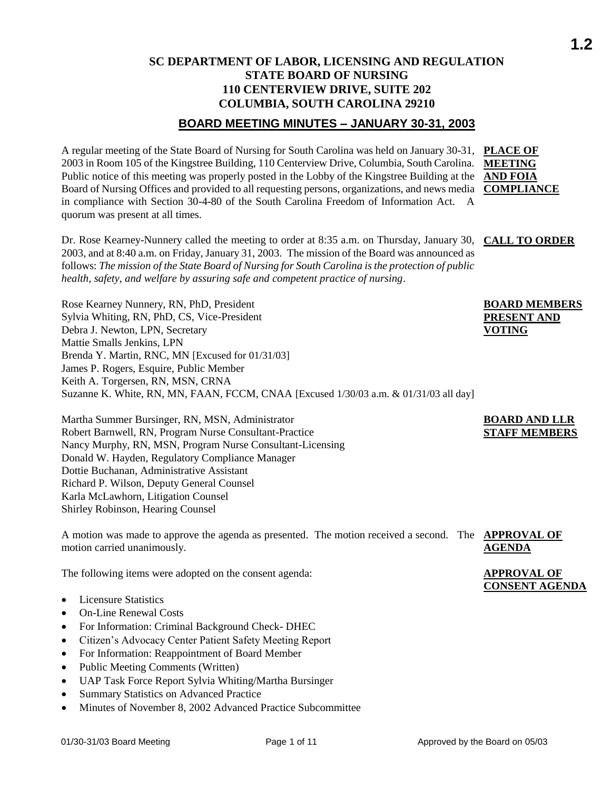### **SC DEPARTMENT OF LABOR, LICENSING AND REGULATION STATE BOARD OF NURSING 110 CENTERVIEW DRIVE, SUITE 202 COLUMBIA, SOUTH CAROLINA 29210**

### **BOARD MEETING MINUTES – JANUARY 30-31, 2003**

A regular meeting of the State Board of Nursing for South Carolina was held on January 30-31, **PLACE OF**  2003 in Room 105 of the Kingstree Building, 110 Centerview Drive, Columbia, South Carolina. **MEETING**  Public notice of this meeting was properly posted in the Lobby of the Kingstree Building at the **AND FOIA** Board of Nursing Offices and provided to all requesting persons, organizations, and news media **COMPLIANCE** in compliance with Section 30-4-80 of the South Carolina Freedom of Information Act. A quorum was present at all times.

Dr. Rose Kearney-Nunnery called the meeting to order at 8:35 a.m. on Thursday, January 30, **CALL TO ORDER** 2003, and at 8:40 a.m. on Friday, January 31, 2003. The mission of the Board was announced as follows: *The mission of the State Board of Nursing for South Carolina is the protection of public health, safety, and welfare by assuring safe and competent practice of nursing*.

Rose Kearney Nunnery, RN, PhD, President Sylvia Whiting, RN, PhD, CS, Vice-President Debra J. Newton, LPN, Secretary Mattie Smalls Jenkins, LPN Brenda Y. Martin, RNC, MN [Excused for 01/31/03] James P. Rogers, Esquire, Public Member Keith A. Torgersen, RN, MSN, CRNA Suzanne K. White, RN, MN, FAAN, FCCM, CNAA [Excused 1/30/03 a.m. & 01/31/03 all day]

Martha Summer Bursinger, RN, MSN, Administrator Robert Barnwell, RN, Program Nurse Consultant-Practice Nancy Murphy, RN, MSN, Program Nurse Consultant-Licensing Donald W. Hayden, Regulatory Compliance Manager Dottie Buchanan, Administrative Assistant Richard P. Wilson, Deputy General Counsel Karla McLawhorn, Litigation Counsel Shirley Robinson, Hearing Counsel

A motion was made to approve the agenda as presented. The motion received a second. The **APPROVAL OF**  motion carried unanimously. **AGENDA**

The following items were adopted on the consent agenda:

- Licensure Statistics
- On-Line Renewal Costs
- For Information: Criminal Background Check- DHEC
- Citizen's Advocacy Center Patient Safety Meeting Report
- For Information: Reappointment of Board Member
- Public Meeting Comments (Written)
- UAP Task Force Report Sylvia Whiting/Martha Bursinger
- Summary Statistics on Advanced Practice
- Minutes of November 8, 2002 Advanced Practice Subcommittee

**BOARD MEMBERS PRESENT AND VOTING**

### **BOARD AND LLR STAFF MEMBERS**

**APPROVAL OF CONSENT AGENDA**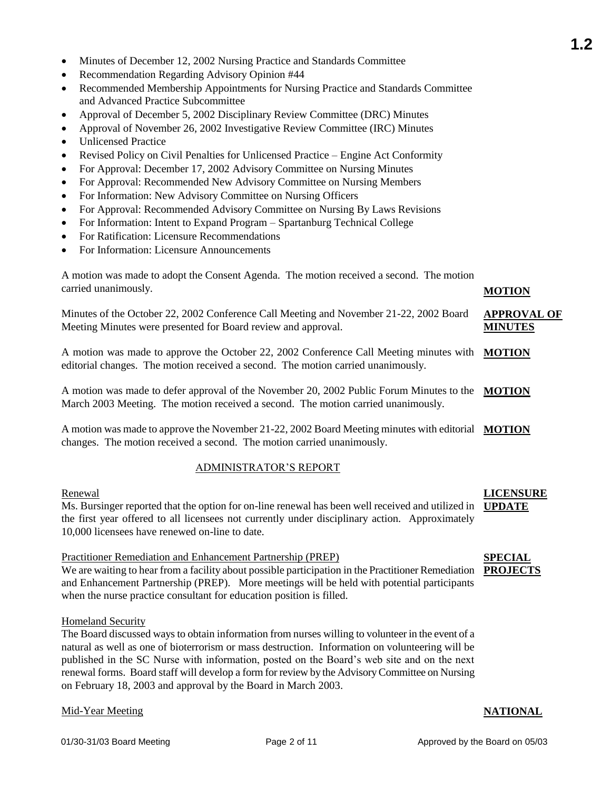- Minutes of December 12, 2002 Nursing Practice and Standards Committee
- Recommendation Regarding Advisory Opinion #44
- Recommended Membership Appointments for Nursing Practice and Standards Committee and Advanced Practice Subcommittee
- Approval of December 5, 2002 Disciplinary Review Committee (DRC) Minutes
- Approval of November 26, 2002 Investigative Review Committee (IRC) Minutes
- Unlicensed Practice
- Revised Policy on Civil Penalties for Unlicensed Practice Engine Act Conformity
- For Approval: December 17, 2002 Advisory Committee on Nursing Minutes
- For Approval: Recommended New Advisory Committee on Nursing Members
- For Information: New Advisory Committee on Nursing Officers
- For Approval: Recommended Advisory Committee on Nursing By Laws Revisions
- For Information: Intent to Expand Program Spartanburg Technical College
- For Ratification: Licensure Recommendations
- For Information: Licensure Announcements

| A motion was made to adopt the Consent Agenda. The motion received a second. The motion |  |               |
|-----------------------------------------------------------------------------------------|--|---------------|
| carried unanimously.                                                                    |  | <b>MOTION</b> |

Minutes of the October 22, 2002 Conference Call Meeting and November 21-22, 2002 Board Meeting Minutes were presented for Board review and approval.

A motion was made to approve the October 22, 2002 Conference Call Meeting minutes with **MOTION** editorial changes. The motion received a second. The motion carried unanimously.

A motion was made to defer approval of the November 20, 2002 Public Forum Minutes to the **MOTION** March 2003 Meeting. The motion received a second. The motion carried unanimously.

A motion was made to approve the November 21-22, 2002 Board Meeting minutes with editorial **MOTION** changes. The motion received a second. The motion carried unanimously.

### ADMINISTRATOR'S REPORT

### Renewal

Ms. Bursinger reported that the option for on-line renewal has been well received and utilized in **UPDATE** the first year offered to all licensees not currently under disciplinary action. Approximately 10,000 licensees have renewed on-line to date.

### Practitioner Remediation and Enhancement Partnership (PREP)

We are waiting to hear from a facility about possible participation in the Practitioner Remediation PROJECTS and Enhancement Partnership (PREP). More meetings will be held with potential participants when the nurse practice consultant for education position is filled.

### Homeland Security

The Board discussed ways to obtain information from nurses willing to volunteer in the event of a natural as well as one of bioterrorism or mass destruction. Information on volunteering will be published in the SC Nurse with information, posted on the Board's web site and on the next renewal forms. Board staff will develop a form for review by the Advisory Committee on Nursing on February 18, 2003 and approval by the Board in March 2003.

#### Mid-Year Meeting **NATIONAL**

# **SPECIAL**

**LICENSURE** 

**APPROVAL OF MINUTES**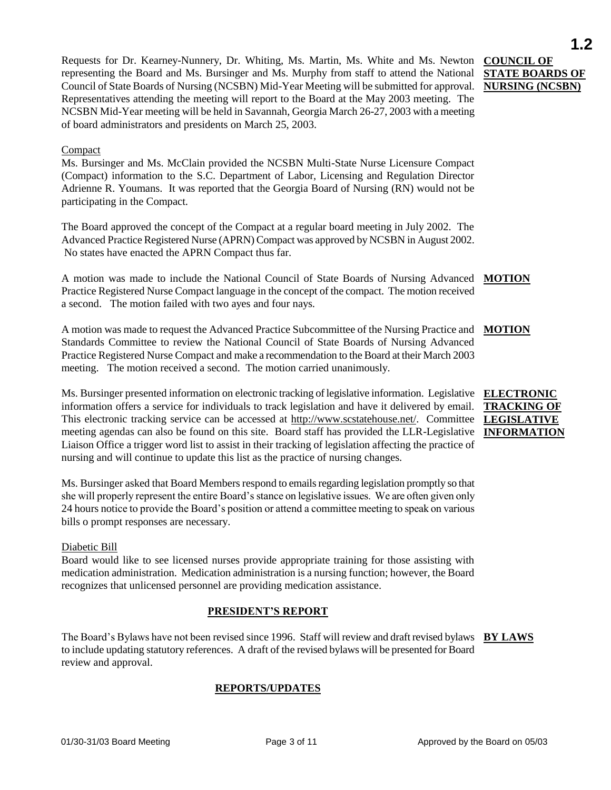Requests for Dr. Kearney-Nunnery, Dr. Whiting, Ms. Martin, Ms. White and Ms. Newton representing the Board and Ms. Bursinger and Ms. Murphy from staff to attend the National Council of State Boards of Nursing (NCSBN) Mid-Year Meeting will be submitted for approval. Representatives attending the meeting will report to the Board at the May 2003 meeting. The NCSBN Mid-Year meeting will be held in Savannah, Georgia March 26-27, 2003 with a meeting of board administrators and presidents on March 25, 2003.

#### Compact

Ms. Bursinger and Ms. McClain provided the NCSBN Multi-State Nurse Licensure Compact (Compact) information to the S.C. Department of Labor, Licensing and Regulation Director Adrienne R. Youmans. It was reported that the Georgia Board of Nursing (RN) would not be participating in the Compact.

The Board approved the concept of the Compact at a regular board meeting in July 2002. The Advanced Practice Registered Nurse (APRN) Compact was approved by NCSBN in August 2002. No states have enacted the APRN Compact thus far.

A motion was made to include the National Council of State Boards of Nursing Advanced **MOTION** Practice Registered Nurse Compact language in the concept of the compact. The motion received a second. The motion failed with two ayes and four nays.

A motion was made to request the Advanced Practice Subcommittee of the Nursing Practice and **MOTION** Standards Committee to review the National Council of State Boards of Nursing Advanced Practice Registered Nurse Compact and make a recommendation to the Board at their March 2003 meeting. The motion received a second. The motion carried unanimously.

Ms. Bursinger presented information on electronic tracking of legislative information. Legislative **ELECTRONIC**  information offers a service for individuals to track legislation and have it delivered by email. This electronic tracking service can be accessed at [http://www.scstatehouse.net/.](http://www.scstatehouse.net/) Committee LEGISLATIVE meeting agendas can also be found on this site. Board staff has provided the LLR-Legislative Liaison Office a trigger word list to assist in their tracking of legislation affecting the practice of nursing and will continue to update this list as the practice of nursing changes.

Ms. Bursinger asked that Board Members respond to emails regarding legislation promptly so that she will properly represent the entire Board's stance on legislative issues. We are often given only 24 hours notice to provide the Board's position or attend a committee meeting to speak on various bills o prompt responses are necessary.

#### Diabetic Bill

Board would like to see licensed nurses provide appropriate training for those assisting with medication administration. Medication administration is a nursing function; however, the Board recognizes that unlicensed personnel are providing medication assistance.

#### **PRESIDENT'S REPORT**

The Board's Bylaws have not been revised since 1996. Staff will review and draft revised bylaws **BY LAWS** to include updating statutory references. A draft of the revised bylaws will be presented for Board review and approval.

### **REPORTS/UPDATES**

**COUNCIL OF** 

**STATE BOARDS OF NURSING (NCSBN)**

# **TRACKING OF INFORMATION**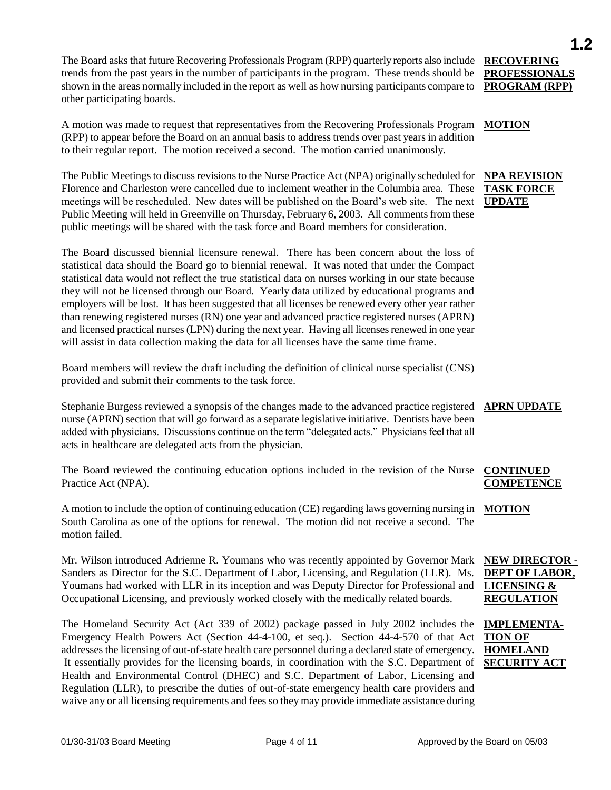The Board asks that future Recovering Professionals Program (RPP) quarterly reports also include **RECOVERING**  trends from the past years in the number of participants in the program. These trends should be shown in the areas normally included in the report as well as how nursing participants compare to **PROGRAM (RPP)** other participating boards.

A motion was made to request that representatives from the Recovering Professionals Program **MOTION** (RPP) to appear before the Board on an annual basis to address trends over past years in addition to their regular report. The motion received a second. The motion carried unanimously.

The Public Meetings to discuss revisions to the Nurse Practice Act (NPA) originally scheduled for Florence and Charleston were cancelled due to inclement weather in the Columbia area. These meetings will be rescheduled. New dates will be published on the Board's web site. The next **UPDATE** Public Meeting will held in Greenville on Thursday, February 6, 2003. All comments from these public meetings will be shared with the task force and Board members for consideration.

The Board discussed biennial licensure renewal. There has been concern about the loss of statistical data should the Board go to biennial renewal. It was noted that under the Compact statistical data would not reflect the true statistical data on nurses working in our state because they will not be licensed through our Board. Yearly data utilized by educational programs and employers will be lost. It has been suggested that all licenses be renewed every other year rather than renewing registered nurses (RN) one year and advanced practice registered nurses (APRN) and licensed practical nurses (LPN) during the next year. Having all licenses renewed in one year will assist in data collection making the data for all licenses have the same time frame.

Board members will review the draft including the definition of clinical nurse specialist (CNS) provided and submit their comments to the task force.

Stephanie Burgess reviewed a synopsis of the changes made to the advanced practice registered **APRN UPDATE** nurse (APRN) section that will go forward as a separate legislative initiative. Dentists have been added with physicians. Discussions continue on the term "delegated acts." Physicians feel that all acts in healthcare are delegated acts from the physician.

The Board reviewed the continuing education options included in the revision of the Nurse Practice Act (NPA).

A motion to include the option of continuing education (CE) regarding laws governing nursing in **MOTION** South Carolina as one of the options for renewal. The motion did not receive a second. The motion failed.

Mr. Wilson introduced Adrienne R. Youmans who was recently appointed by Governor Mark Sanders as Director for the S.C. Department of Labor, Licensing, and Regulation (LLR). Ms. Youmans had worked with LLR in its inception and was Deputy Director for Professional and Occupational Licensing, and previously worked closely with the medically related boards.

The Homeland Security Act (Act 339 of 2002) package passed in July 2002 includes the **IMPLEMENTA-**Emergency Health Powers Act (Section 44-4-100, et seq.). Section 44-4-570 of that Act addresses the licensing of out-of-state health care personnel during a declared state of emergency. It essentially provides for the licensing boards, in coordination with the S.C. Department of Health and Environmental Control (DHEC) and S.C. Department of Labor, Licensing and Regulation (LLR), to prescribe the duties of out-of-state emergency health care providers and waive any or all licensing requirements and fees so they may provide immediate assistance during

**PROFESSIONALS** 

**1.2**

## **NPA REVISION TASK FORCE**

### **CONTINUED COMPETENCE**

#### **NEW DIRECTOR - DEPT OF LABOR, LICENSING & REGULATION**

**TION OF HOMELAND SECURITY ACT**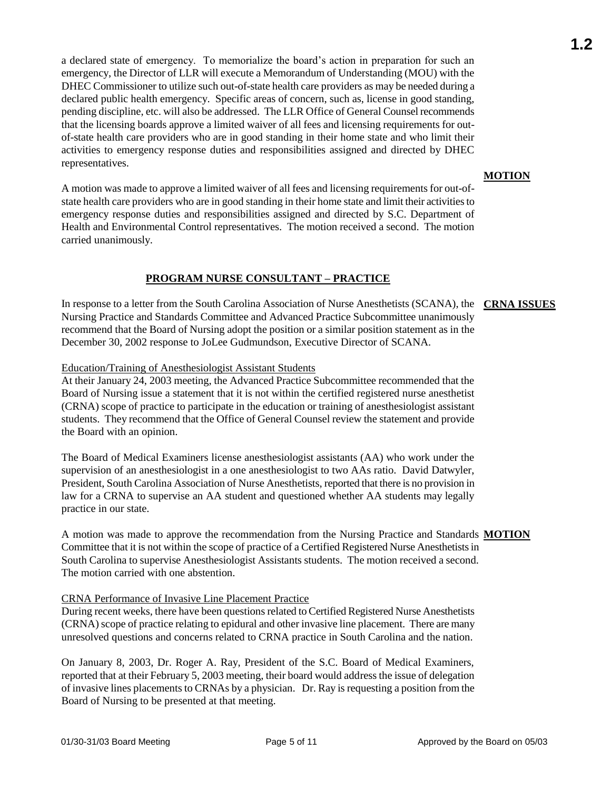a declared state of emergency. To memorialize the board's action in preparation for such an emergency, the Director of LLR will execute a Memorandum of Understanding (MOU) with the DHEC Commissioner to utilize such out-of-state health care providers as may be needed during a declared public health emergency. Specific areas of concern, such as, license in good standing, pending discipline, etc. will also be addressed. The LLR Office of General Counsel recommends that the licensing boards approve a limited waiver of all fees and licensing requirements for outof-state health care providers who are in good standing in their home state and who limit their activities to emergency response duties and responsibilities assigned and directed by DHEC representatives.

A motion was made to approve a limited waiver of all fees and licensing requirements for out-ofstate health care providers who are in good standing in their home state and limit their activities to emergency response duties and responsibilities assigned and directed by S.C. Department of Health and Environmental Control representatives. The motion received a second. The motion carried unanimously.

#### **PROGRAM NURSE CONSULTANT – PRACTICE**

In response to a letter from the South Carolina Association of Nurse Anesthetists (SCANA), the **CRNA ISSUES** Nursing Practice and Standards Committee and Advanced Practice Subcommittee unanimously recommend that the Board of Nursing adopt the position or a similar position statement as in the December 30, 2002 response to JoLee Gudmundson, Executive Director of SCANA.

#### Education/Training of Anesthesiologist Assistant Students

At their January 24, 2003 meeting, the Advanced Practice Subcommittee recommended that the Board of Nursing issue a statement that it is not within the certified registered nurse anesthetist (CRNA) scope of practice to participate in the education or training of anesthesiologist assistant students. They recommend that the Office of General Counsel review the statement and provide the Board with an opinion.

The Board of Medical Examiners license anesthesiologist assistants (AA) who work under the supervision of an anesthesiologist in a one anesthesiologist to two AAs ratio. David Datwyler, President, South Carolina Association of Nurse Anesthetists, reported that there is no provision in law for a CRNA to supervise an AA student and questioned whether AA students may legally practice in our state.

A motion was made to approve the recommendation from the Nursing Practice and Standards **MOTION**Committee that it is not within the scope of practice of a Certified Registered Nurse Anesthetists in South Carolina to supervise Anesthesiologist Assistants students. The motion received a second. The motion carried with one abstention.

#### CRNA Performance of Invasive Line Placement Practice

During recent weeks, there have been questions related to Certified Registered Nurse Anesthetists (CRNA) scope of practice relating to epidural and other invasive line placement. There are many unresolved questions and concerns related to CRNA practice in South Carolina and the nation.

On January 8, 2003, Dr. Roger A. Ray, President of the S.C. Board of Medical Examiners, reported that at their February 5, 2003 meeting, their board would address the issue of delegation of invasive lines placements to CRNAs by a physician. Dr. Ray is requesting a position from the Board of Nursing to be presented at that meeting.

### **MOTION**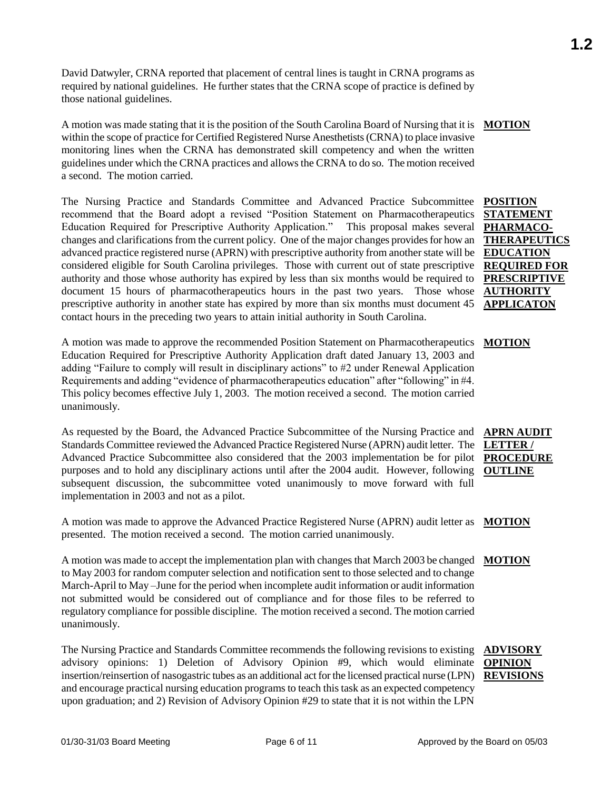David Datwyler, CRNA reported that placement of central lines is taught in CRNA programs as required by national guidelines. He further states that the CRNA scope of practice is defined by those national guidelines.

A motion was made stating that it is the position of the South Carolina Board of Nursing that it is **MOTION** within the scope of practice for Certified Registered Nurse Anesthetists (CRNA) to place invasive monitoring lines when the CRNA has demonstrated skill competency and when the written guidelines under which the CRNA practices and allows the CRNA to do so. The motion received a second. The motion carried.

The Nursing Practice and Standards Committee and Advanced Practice Subcommittee recommend that the Board adopt a revised "Position Statement on Pharmacotherapeutics Education Required for Prescriptive Authority Application." This proposal makes several changes and clarifications from the current policy. One of the major changes provides for how an advanced practice registered nurse (APRN) with prescriptive authority from another state will be considered eligible for South Carolina privileges. Those with current out of state prescriptive authority and those whose authority has expired by less than six months would be required to document 15 hours of pharmacotherapeutics hours in the past two years. Those whose prescriptive authority in another state has expired by more than six months must document 45 contact hours in the preceding two years to attain initial authority in South Carolina.

A motion was made to approve the recommended Position Statement on Pharmacotherapeutics Education Required for Prescriptive Authority Application draft dated January 13, 2003 and adding "Failure to comply will result in disciplinary actions" to #2 under Renewal Application Requirements and adding "evidence of pharmacotherapeutics education" after "following" in #4. This policy becomes effective July 1, 2003. The motion received a second. The motion carried unanimously. **MOTION**

As requested by the Board, the Advanced Practice Subcommittee of the Nursing Practice and Standards Committee reviewed the Advanced Practice Registered Nurse (APRN) audit letter. The Advanced Practice Subcommittee also considered that the 2003 implementation be for pilot purposes and to hold any disciplinary actions until after the 2004 audit. However, following subsequent discussion, the subcommittee voted unanimously to move forward with full implementation in 2003 and not as a pilot.

A motion was made to approve the Advanced Practice Registered Nurse (APRN) audit letter as **MOTION** presented. The motion received a second. The motion carried unanimously.

A motion was made to accept the implementation plan with changes that March 2003 be changed **MOTION** to May 2003 for random computer selection and notification sent to those selected and to change March-April to May –June for the period when incomplete audit information or audit information not submitted would be considered out of compliance and for those files to be referred to regulatory compliance for possible discipline. The motion received a second. The motion carried unanimously.

The Nursing Practice and Standards Committee recommends the following revisions to existing advisory opinions: 1) Deletion of Advisory Opinion #9, which would eliminate insertion/reinsertion of nasogastric tubes as an additional act for the licensed practical nurse (LPN) **REVISIONS**and encourage practical nursing education programs to teach this task as an expected competency upon graduation; and 2) Revision of Advisory Opinion #29 to state that it is not within the LPN

**APRN AUDIT LETTER / PROCEDURE OUTLINE**

**AUTHORITY APPLICATON**

## **ADVISORY OPINION**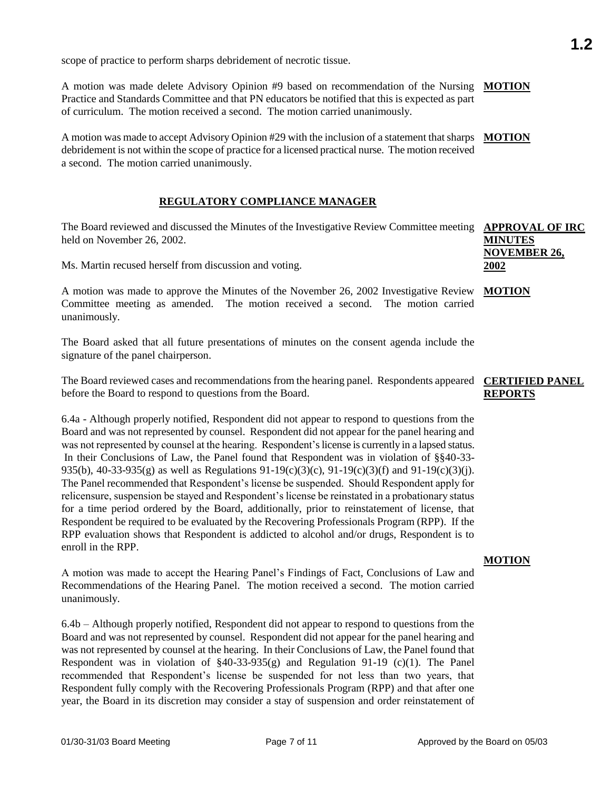scope of practice to perform sharps debridement of necrotic tissue.

A motion was made delete Advisory Opinion #9 based on recommendation of the Nursing **MOTION** Practice and Standards Committee and that PN educators be notified that this is expected as part of curriculum. The motion received a second. The motion carried unanimously.

A motion was made to accept Advisory Opinion #29 with the inclusion of a statement that sharps debridement is not within the scope of practice for a licensed practical nurse. The motion received a second. The motion carried unanimously. **MOTION**

### **REGULATORY COMPLIANCE MANAGER**

The Board reviewed and discussed the Minutes of the Investigative Review Committee meeting **APPROVAL OF IRC** held on November 26, 2002. **MINUTES** 

Ms. Martin recused herself from discussion and voting.

A motion was made to approve the Minutes of the November 26, 2002 Investigative Review **MOTION** Committee meeting as amended. The motion received a second. The motion carried unanimously.

The Board asked that all future presentations of minutes on the consent agenda include the signature of the panel chairperson.

The Board reviewed cases and recommendations from the hearing panel. Respondents appeared **CERTIFIED PANEL**  before the Board to respond to questions from the Board.

6.4a - Although properly notified, Respondent did not appear to respond to questions from the Board and was not represented by counsel. Respondent did not appear for the panel hearing and was not represented by counsel at the hearing. Respondent's license is currently in a lapsed status. In their Conclusions of Law, the Panel found that Respondent was in violation of §§40-33- 935(b), 40-33-935(g) as well as Regulations  $91-19(c)(3)(c)$ ,  $91-19(c)(3)(f)$  and  $91-19(c)(3)(f)$ . The Panel recommended that Respondent's license be suspended. Should Respondent apply for relicensure, suspension be stayed and Respondent's license be reinstated in a probationary status for a time period ordered by the Board, additionally, prior to reinstatement of license, that Respondent be required to be evaluated by the Recovering Professionals Program (RPP). If the RPP evaluation shows that Respondent is addicted to alcohol and/or drugs, Respondent is to enroll in the RPP.

A motion was made to accept the Hearing Panel's Findings of Fact, Conclusions of Law and Recommendations of the Hearing Panel. The motion received a second. The motion carried unanimously.

6.4b – Although properly notified, Respondent did not appear to respond to questions from the Board and was not represented by counsel. Respondent did not appear for the panel hearing and was not represented by counsel at the hearing. In their Conclusions of Law, the Panel found that Respondent was in violation of  $\S 40-33-935(g)$  and Regulation 91-19 (c)(1). The Panel recommended that Respondent's license be suspended for not less than two years, that Respondent fully comply with the Recovering Professionals Program (RPP) and that after one year, the Board in its discretion may consider a stay of suspension and order reinstatement of

# **REPORTS**

**MOTION**

**NOVEMBER 26,** 

**2002**

## **1.2**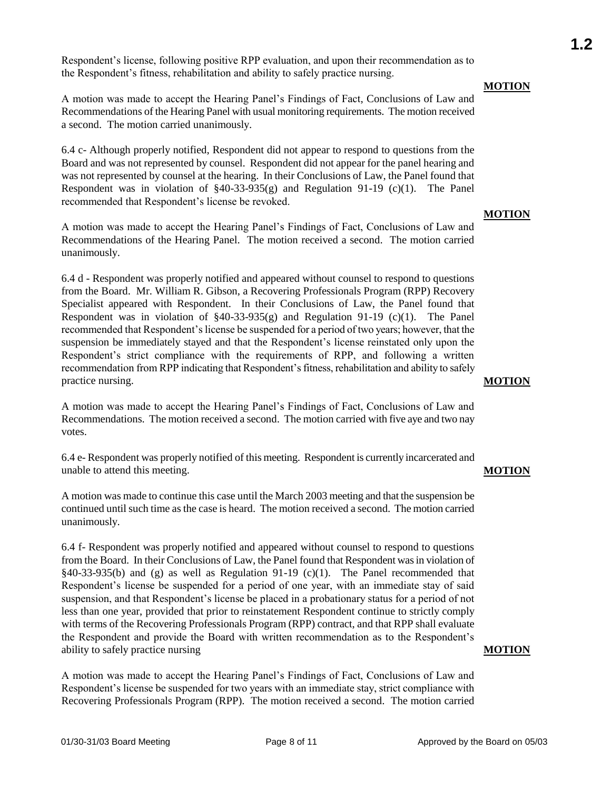Respondent's license, following positive RPP evaluation, and upon their recommendation as to the Respondent's fitness, rehabilitation and ability to safely practice nursing.

A motion was made to accept the Hearing Panel's Findings of Fact, Conclusions of Law and Recommendations of the Hearing Panel with usual monitoring requirements. The motion received a second. The motion carried unanimously.

6.4 c- Although properly notified, Respondent did not appear to respond to questions from the Board and was not represented by counsel. Respondent did not appear for the panel hearing and was not represented by counsel at the hearing. In their Conclusions of Law, the Panel found that Respondent was in violation of  $\S 40-33-935(g)$  and Regulation 91-19 (c)(1). The Panel recommended that Respondent's license be revoked.

A motion was made to accept the Hearing Panel's Findings of Fact, Conclusions of Law and Recommendations of the Hearing Panel. The motion received a second. The motion carried unanimously.

6.4 d - Respondent was properly notified and appeared without counsel to respond to questions from the Board. Mr. William R. Gibson, a Recovering Professionals Program (RPP) Recovery Specialist appeared with Respondent. In their Conclusions of Law, the Panel found that Respondent was in violation of  $\S 40-33-935(g)$  and Regulation 91-19 (c)(1). The Panel recommended that Respondent's license be suspended for a period of two years; however, that the suspension be immediately stayed and that the Respondent's license reinstated only upon the Respondent's strict compliance with the requirements of RPP, and following a written recommendation from RPP indicating that Respondent's fitness, rehabilitation and ability to safely practice nursing.

A motion was made to accept the Hearing Panel's Findings of Fact, Conclusions of Law and Recommendations. The motion received a second. The motion carried with five aye and two nay votes.

6.4 e- Respondent was properly notified of this meeting. Respondent is currently incarcerated and unable to attend this meeting.

A motion was made to continue this case until the March 2003 meeting and that the suspension be continued until such time as the case is heard. The motion received a second. The motion carried unanimously.

6.4 f- Respondent was properly notified and appeared without counsel to respond to questions from the Board. In their Conclusions of Law, the Panel found that Respondent was in violation of  $§40-33-935(b)$  and (g) as well as Regulation 91-19 (c)(1). The Panel recommended that Respondent's license be suspended for a period of one year, with an immediate stay of said suspension, and that Respondent's license be placed in a probationary status for a period of not less than one year, provided that prior to reinstatement Respondent continue to strictly comply with terms of the Recovering Professionals Program (RPP) contract, and that RPP shall evaluate the Respondent and provide the Board with written recommendation as to the Respondent's ability to safely practice nursing

A motion was made to accept the Hearing Panel's Findings of Fact, Conclusions of Law and Respondent's license be suspended for two years with an immediate stay, strict compliance with Recovering Professionals Program (RPP). The motion received a second. The motion carried

#### **MOTION**

### **MOTION**

#### **MOTION**

**MOTION**

### **MOTION**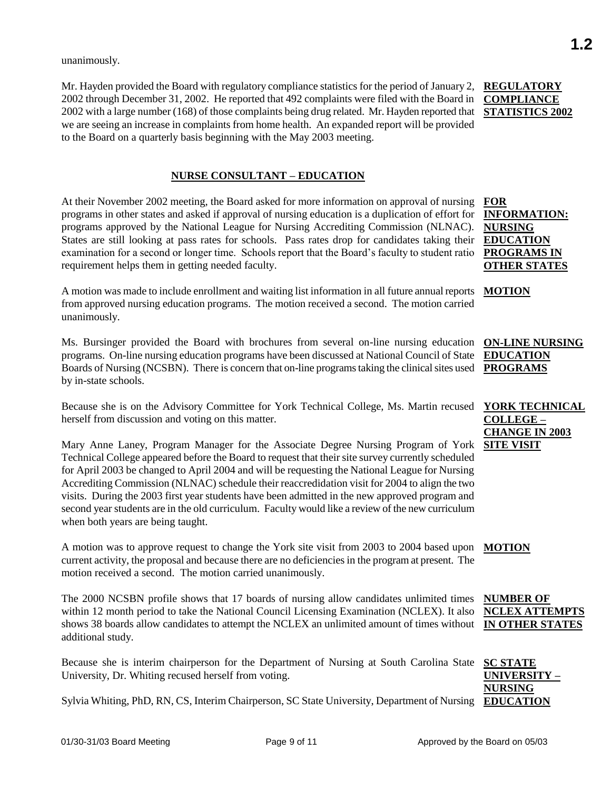unanimously.

Mr. Hayden provided the Board with regulatory compliance statistics for the period of January 2, 2002 through December 31, 2002. He reported that 492 complaints were filed with the Board in 2002 with a large number (168) of those complaints being drug related. Mr. Hayden reported that we are seeing an increase in complaints from home health. An expanded report will be provided to the Board on a quarterly basis beginning with the May 2003 meeting.

### **NURSE CONSULTANT – EDUCATION**

At their November 2002 meeting, the Board asked for more information on approval of nursing programs in other states and asked if approval of nursing education is a duplication of effort for programs approved by the National League for Nursing Accrediting Commission (NLNAC). States are still looking at pass rates for schools. Pass rates drop for candidates taking their examination for a second or longer time. Schools report that the Board's faculty to student ratio requirement helps them in getting needed faculty.

A motion was made to include enrollment and waiting list information in all future annual reports **MOTION** from approved nursing education programs. The motion received a second. The motion carried unanimously.

Ms. Bursinger provided the Board with brochures from several on-line nursing education programs. On-line nursing education programs have been discussed at National Council of State Boards of Nursing (NCSBN). There is concern that on-line programs taking the clinical sites used by in-state schools.

Because she is on the Advisory Committee for York Technical College, Ms. Martin recused YORK TECHNICAL herself from discussion and voting on this matter.

Mary Anne Laney, Program Manager for the Associate Degree Nursing Program of York **SITE VISIT** Technical College appeared before the Board to request that their site survey currently scheduled for April 2003 be changed to April 2004 and will be requesting the National League for Nursing Accrediting Commission (NLNAC) schedule their reaccredidation visit for 2004 to align the two visits. During the 2003 first year students have been admitted in the new approved program and second year students are in the old curriculum. Faculty would like a review of the new curriculum when both years are being taught.

A motion was to approve request to change the York site visit from 2003 to 2004 based upon current activity, the proposal and because there are no deficiencies in the program at present. The motion received a second. The motion carried unanimously. **MOTION**

The 2000 NCSBN profile shows that 17 boards of nursing allow candidates unlimited times within 12 month period to take the National Council Licensing Examination (NCLEX). It also shows 38 boards allow candidates to attempt the NCLEX an unlimited amount of times without **IN OTHER STATES** additional study.

Because she is interim chairperson for the Department of Nursing at South Carolina State **SC STATE**  University, Dr. Whiting recused herself from voting.

Sylvia Whiting, PhD, RN, CS, Interim Chairperson, SC State University, Department of Nursing **EDUCATION** 

**REGULATORY COMPLIANCE STATISTICS 2002**

**FOR INFORMATION: NURSING EDUCATION PROGRAMS IN OTHER STATES**

**ON-LINE NURSING EDUCATION PROGRAMS**

**COLLEGE – CHANGE IN 2003** 

**NUMBER OF NCLEX ATTEMPTS**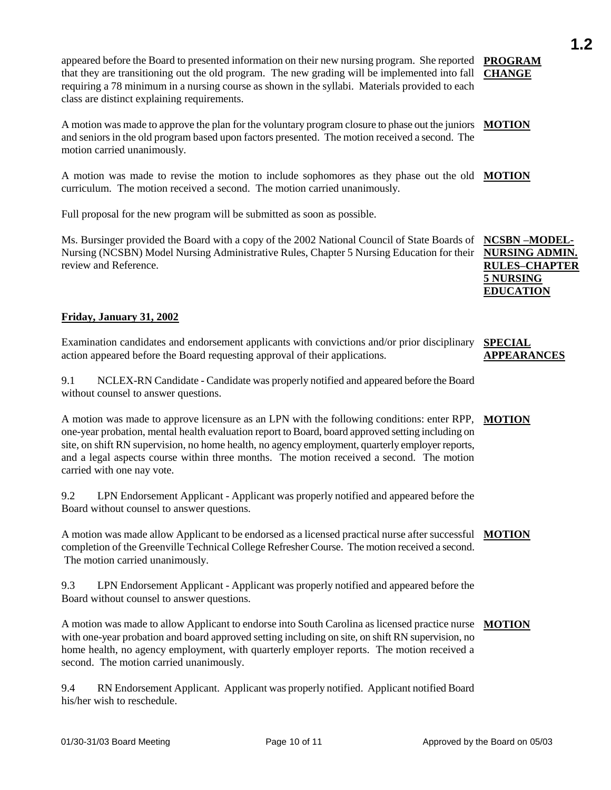appeared before the Board to presented information on their new nursing program. She reported PROGRAM that they are transitioning out the old program. The new grading will be implemented into fall requiring a 78 minimum in a nursing course as shown in the syllabi. Materials provided to each class are distinct explaining requirements. **CHANGE**

A motion was made to approve the plan for the voluntary program closure to phase out the juniors **MOTION** and seniors in the old program based upon factors presented. The motion received a second. The motion carried unanimously.

A motion was made to revise the motion to include sophomores as they phase out the old **MOTION** curriculum. The motion received a second. The motion carried unanimously.

Full proposal for the new program will be submitted as soon as possible.

Ms. Bursinger provided the Board with a copy of the 2002 National Council of State Boards of Nursing (NCSBN) Model Nursing Administrative Rules, Chapter 5 Nursing Education for their review and Reference.

### **Friday, January 31, 2002**

Examination candidates and endorsement applicants with convictions and/or prior disciplinary action appeared before the Board requesting approval of their applications. **SPECIAL** 

9.1 NCLEX-RN Candidate - Candidate was properly notified and appeared before the Board without counsel to answer questions.

A motion was made to approve licensure as an LPN with the following conditions: enter RPP, one-year probation, mental health evaluation report to Board, board approved setting including on site, on shift RN supervision, no home health, no agency employment, quarterly employer reports, and a legal aspects course within three months. The motion received a second. The motion carried with one nay vote. **MOTION**

9.2 LPN Endorsement Applicant - Applicant was properly notified and appeared before the Board without counsel to answer questions.

A motion was made allow Applicant to be endorsed as a licensed practical nurse after successful **MOTION** completion of the Greenville Technical College Refresher Course. The motion received a second. The motion carried unanimously.

9.3 LPN Endorsement Applicant - Applicant was properly notified and appeared before the Board without counsel to answer questions.

A motion was made to allow Applicant to endorse into South Carolina as licensed practice nurse **MOTION**with one-year probation and board approved setting including on site, on shift RN supervision, no home health, no agency employment, with quarterly employer reports. The motion received a second. The motion carried unanimously.

9.4 RN Endorsement Applicant. Applicant was properly notified. Applicant notified Board his/her wish to reschedule.

**NCSBN –MODEL-NURSING ADMIN. RULES–CHAPTER 5 NURSING EDUCATION**

**APPEARANCES**